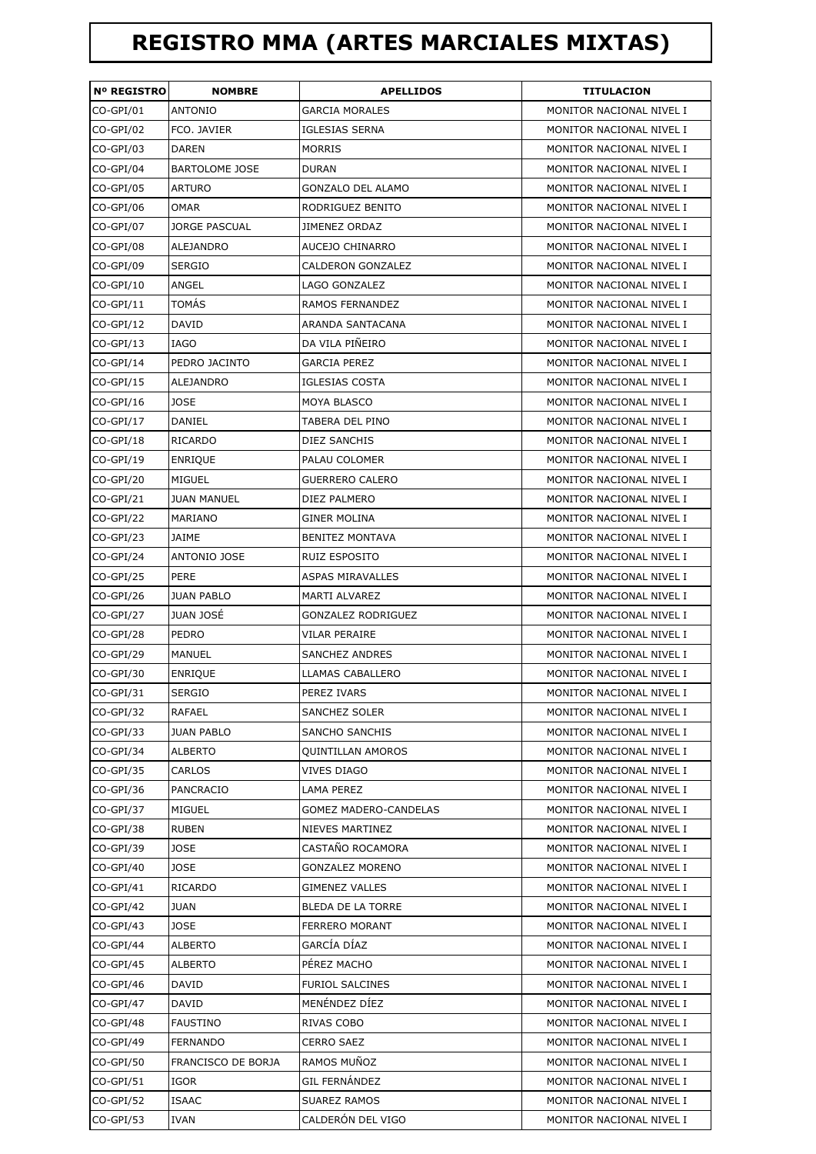## **REGISTRO MMA (ARTES MARCIALES MIXTAS)**

| <b>Nº REGISTRO</b> | <b>NOMBRE</b>         | <b>APELLIDOS</b>         | <b>TITULACION</b>        |
|--------------------|-----------------------|--------------------------|--------------------------|
| CO-GPI/01          | <b>ANTONIO</b>        | <b>GARCIA MORALES</b>    | MONITOR NACIONAL NIVEL I |
| CO-GPI/02          | FCO. JAVIER           | <b>IGLESIAS SERNA</b>    | MONITOR NACIONAL NIVEL I |
| CO-GPI/03          | <b>DAREN</b>          | <b>MORRIS</b>            | MONITOR NACIONAL NIVEL I |
| CO-GPI/04          | <b>BARTOLOME JOSE</b> | <b>DURAN</b>             | MONITOR NACIONAL NIVEL I |
| CO-GPI/05          | <b>ARTURO</b>         | <b>GONZALO DEL ALAMO</b> | MONITOR NACIONAL NIVEL I |
| CO-GPI/06          | OMAR                  | RODRIGUEZ BENITO         | MONITOR NACIONAL NIVEL I |
| CO-GPI/07          | <b>JORGE PASCUAL</b>  | <b>JIMENEZ ORDAZ</b>     | MONITOR NACIONAL NIVEL I |
| CO-GPI/08          | <b>ALEJANDRO</b>      | AUCEJO CHINARRO          | MONITOR NACIONAL NIVEL I |
| CO-GPI/09          | <b>SERGIO</b>         | CALDERON GONZALEZ        | MONITOR NACIONAL NIVEL I |
| $CO-GPI/10$        | ANGEL                 | LAGO GONZALEZ            | MONITOR NACIONAL NIVEL I |
| $CO-GPI/11$        | TOMÁS                 | RAMOS FERNANDEZ          | MONITOR NACIONAL NIVEL I |
| $CO-GPI/12$        | <b>DAVID</b>          | ARANDA SANTACANA         | MONITOR NACIONAL NIVEL I |
| CO-GPI/13          | IAGO                  | DA VILA PIÑEIRO          | MONITOR NACIONAL NIVEL I |
| $CO-GPI/14$        | PEDRO JACINTO         | <b>GARCIA PEREZ</b>      | MONITOR NACIONAL NIVEL I |
| $CO-GPI/15$        | ALEJANDRO             | <b>IGLESIAS COSTA</b>    | MONITOR NACIONAL NIVEL I |
| CO-GPI/16          | <b>JOSE</b>           | <b>MOYA BLASCO</b>       | MONITOR NACIONAL NIVEL I |
| $CO-GPI/17$        | DANIEL                | TABERA DEL PINO          | MONITOR NACIONAL NIVEL I |
| CO-GPI/18          | RICARDO               | DIEZ SANCHIS             | MONITOR NACIONAL NIVEL I |
| CO-GPI/19          | <b>ENRIQUE</b>        | PALAU COLOMER            | MONITOR NACIONAL NIVEL I |
| CO-GPI/20          | MIGUEL                | <b>GUERRERO CALERO</b>   | MONITOR NACIONAL NIVEL I |
| CO-GPI/21          | <b>JUAN MANUEL</b>    | DIEZ PALMERO             | MONITOR NACIONAL NIVEL I |
| CO-GPI/22          | MARIANO               | <b>GINER MOLINA</b>      | MONITOR NACIONAL NIVEL I |
| CO-GPI/23          | JAIME                 | <b>BENITEZ MONTAVA</b>   | MONITOR NACIONAL NIVEL I |
| CO-GPI/24          | <b>ANTONIO JOSE</b>   | <b>RUIZ ESPOSITO</b>     | MONITOR NACIONAL NIVEL I |
| CO-GPI/25          | <b>PERE</b>           | <b>ASPAS MIRAVALLES</b>  | MONITOR NACIONAL NIVEL I |
| CO-GPI/26          | <b>JUAN PABLO</b>     | MARTI ALVAREZ            | MONITOR NACIONAL NIVEL I |
| CO-GPI/27          | <b>JUAN JOSÉ</b>      | GONZALEZ RODRIGUEZ       | MONITOR NACIONAL NIVEL I |
| CO-GPI/28          | <b>PEDRO</b>          | VILAR PERAIRE            | MONITOR NACIONAL NIVEL I |
| CO-GPI/29          | <b>MANUEL</b>         | <b>SANCHEZ ANDRES</b>    | MONITOR NACIONAL NIVEL I |
| CO-GPI/30          | <b>ENRIQUE</b>        | LLAMAS CABALLERO         | MONITOR NACIONAL NIVEL I |
| CO-GPI/31          | SERGIO                | PEREZ IVARS              | MONITOR NACIONAL NIVEL I |
| CO-GPI/32          | <b>RAFAEL</b>         | <b>SANCHEZ SOLER</b>     | MONITOR NACIONAL NIVEL I |
| CO-GPI/33          | <b>JUAN PABLO</b>     | <b>SANCHO SANCHIS</b>    | MONITOR NACIONAL NIVEL I |
| CO-GPI/34          | <b>ALBERTO</b>        | <b>QUINTILLAN AMOROS</b> | MONITOR NACIONAL NIVEL I |
| CO-GPI/35          | CARLOS                | <b>VIVES DIAGO</b>       | MONITOR NACIONAL NIVEL I |
| CO-GPI/36          | PANCRACIO             | LAMA PEREZ               | MONITOR NACIONAL NIVEL I |
| CO-GPI/37          | MIGUEL                | GOMEZ MADERO-CANDELAS    | MONITOR NACIONAL NIVEL I |
| CO-GPI/38          | <b>RUBEN</b>          | NIEVES MARTINEZ          | MONITOR NACIONAL NIVEL I |
| CO-GPI/39          | JOSE                  | CASTAÑO ROCAMORA         | MONITOR NACIONAL NIVEL I |
| CO-GPI/40          | <b>JOSE</b>           | GONZALEZ MORENO          | MONITOR NACIONAL NIVEL I |
| CO-GPI/41          | <b>RICARDO</b>        | <b>GIMENEZ VALLES</b>    | MONITOR NACIONAL NIVEL I |
| CO-GPI/42          | JUAN                  | BLEDA DE LA TORRE        | MONITOR NACIONAL NIVEL I |
| $CO-GPI/43$        | <b>JOSE</b>           | FERRERO MORANT           | MONITOR NACIONAL NIVEL I |
| CO-GPI/44          | <b>ALBERTO</b>        | GARCÍA DÍAZ              | MONITOR NACIONAL NIVEL I |
| CO-GPI/45          | ALBERTO               | PÉREZ MACHO              | MONITOR NACIONAL NIVEL I |
| CO-GPI/46          | DAVID                 | <b>FURIOL SALCINES</b>   | MONITOR NACIONAL NIVEL I |
| CO-GPI/47          | DAVID                 | MENÉNDEZ DÍEZ            | MONITOR NACIONAL NIVEL I |
| CO-GPI/48          | <b>FAUSTINO</b>       | RIVAS COBO               | MONITOR NACIONAL NIVEL I |
| CO-GPI/49          | <b>FERNANDO</b>       | <b>CERRO SAEZ</b>        | MONITOR NACIONAL NIVEL I |
| CO-GPI/50          | FRANCISCO DE BORJA    | RAMOS MUÑOZ              | MONITOR NACIONAL NIVEL I |
| CO-GPI/51          | IGOR                  | <b>GIL FERNÁNDEZ</b>     | MONITOR NACIONAL NIVEL I |
| CO-GPI/52          | <b>ISAAC</b>          | <b>SUAREZ RAMOS</b>      | MONITOR NACIONAL NIVEL I |
| CO-GPI/53          | IVAN                  | CALDERÓN DEL VIGO        | MONITOR NACIONAL NIVEL I |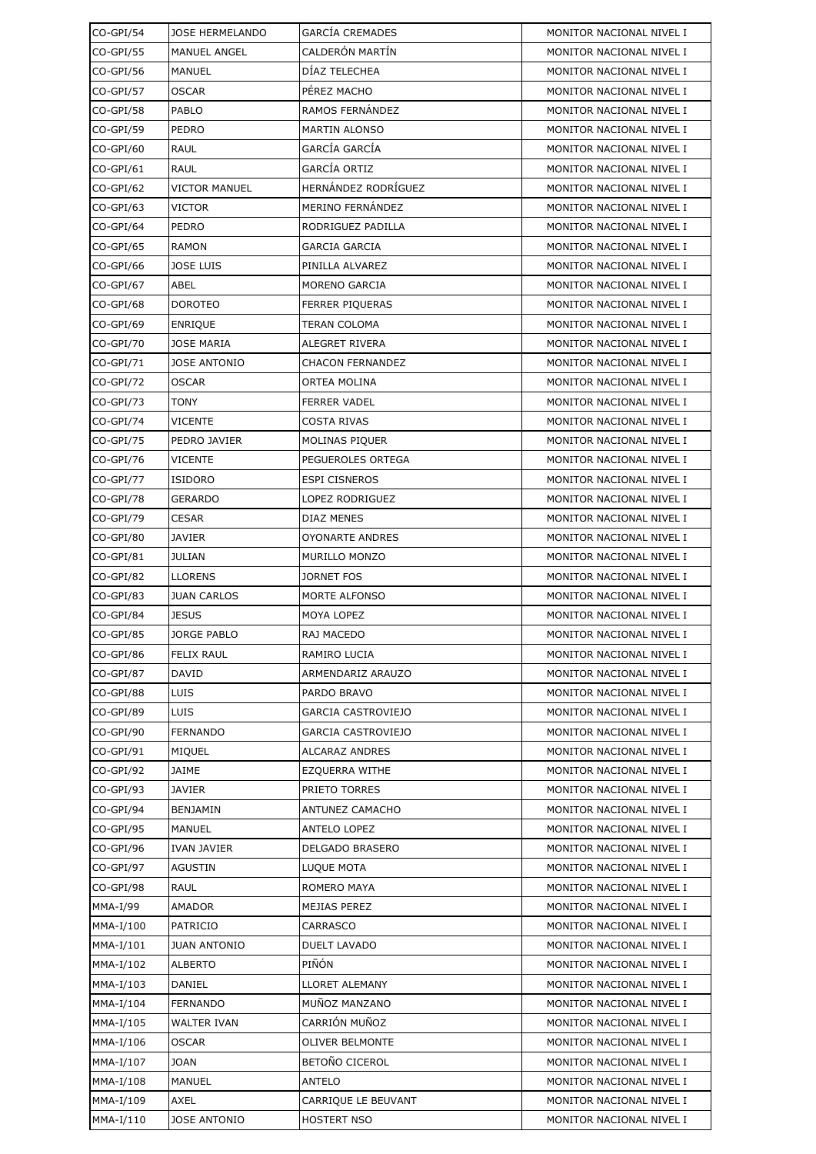| CO-GPI/54   | <b>JOSE HERMELANDO</b> | <b>GARCÍA CREMADES</b>    | MONITOR NACIONAL NIVEL I |
|-------------|------------------------|---------------------------|--------------------------|
| CO-GPI/55   | MANUEL ANGEL           | CALDERÓN MARTÍN           | MONITOR NACIONAL NIVEL I |
| CO-GPI/56   | MANUEL                 | DÍAZ TELECHEA             | MONITOR NACIONAL NIVEL I |
| CO-GPI/57   | OSCAR                  | PÉREZ MACHO               | MONITOR NACIONAL NIVEL I |
| CO-GPI/58   | PABLO                  | RAMOS FERNÁNDEZ           | MONITOR NACIONAL NIVEL I |
| CO-GPI/59   | PEDRO                  | <b>MARTIN ALONSO</b>      | MONITOR NACIONAL NIVEL I |
| CO-GPI/60   | RAUL                   | GARCÍA GARCÍA             | MONITOR NACIONAL NIVEL I |
| $CO-GPI/61$ | RAUL                   | GARCÍA ORTIZ              | MONITOR NACIONAL NIVEL I |
| CO-GPI/62   | VICTOR MANUEL          | HERNÁNDEZ RODRÍGUEZ       | MONITOR NACIONAL NIVEL I |
| CO-GPI/63   | VICTOR                 | MERINO FERNÁNDEZ          | MONITOR NACIONAL NIVEL I |
| CO-GPI/64   | PEDRO                  | RODRIGUEZ PADILLA         | MONITOR NACIONAL NIVEL I |
| CO-GPI/65   | RAMON                  | <b>GARCIA GARCIA</b>      | MONITOR NACIONAL NIVEL I |
| CO-GPI/66   | <b>JOSE LUIS</b>       | PINILLA ALVAREZ           | MONITOR NACIONAL NIVEL I |
| CO-GPI/67   | ABEL                   | MORENO GARCIA             | MONITOR NACIONAL NIVEL I |
| CO-GPI/68   | DOROTEO                | <b>FERRER PIQUERAS</b>    | MONITOR NACIONAL NIVEL I |
| CO-GPI/69   | <b>ENRIQUE</b>         | <b>TERAN COLOMA</b>       | MONITOR NACIONAL NIVEL I |
| CO-GPI/70   | <b>JOSE MARIA</b>      | ALEGRET RIVERA            | MONITOR NACIONAL NIVEL I |
| CO-GPI/71   | <b>JOSE ANTONIO</b>    | <b>CHACON FERNANDEZ</b>   | MONITOR NACIONAL NIVEL I |
| CO-GPI/72   | <b>OSCAR</b>           | <b>ORTEA MOLINA</b>       | MONITOR NACIONAL NIVEL I |
| CO-GPI/73   | TONY                   | <b>FERRER VADEL</b>       | MONITOR NACIONAL NIVEL I |
| CO-GPI/74   | VICENTE                | <b>COSTA RIVAS</b>        | MONITOR NACIONAL NIVEL I |
| CO-GPI/75   | PEDRO JAVIER           | MOLINAS PIQUER            | MONITOR NACIONAL NIVEL I |
| CO-GPI/76   | VICENTE                | PEGUEROLES ORTEGA         | MONITOR NACIONAL NIVEL I |
| CO-GPI/77   | <b>ISIDORO</b>         | <b>ESPI CISNEROS</b>      | MONITOR NACIONAL NIVEL I |
| CO-GPI/78   | GERARDO                | LOPEZ RODRIGUEZ           | MONITOR NACIONAL NIVEL I |
| CO-GPI/79   | CESAR                  | DIAZ MENES                | MONITOR NACIONAL NIVEL I |
| CO-GPI/80   | <b>JAVIER</b>          | <b>OYONARTE ANDRES</b>    | MONITOR NACIONAL NIVEL I |
| CO-GPI/81   | <b>JULIAN</b>          | <b>MURILLO MONZO</b>      | MONITOR NACIONAL NIVEL I |
| CO-GPI/82   | LLORENS                | JORNET FOS                | MONITOR NACIONAL NIVEL I |
| CO-GPI/83   | <b>JUAN CARLOS</b>     | MORTE ALFONSO             | MONITOR NACIONAL NIVEL I |
| CO-GPI/84   | <b>JESUS</b>           | MOYA LOPEZ                | MONITOR NACIONAL NIVEL I |
| CO-GPI/85   | JORGE PABLO            | RAJ MACEDO                | MONITOR NACIONAL NIVEL I |
| CO-GPI/86   | <b>FELIX RAUL</b>      | RAMIRO LUCIA              | MONITOR NACIONAL NIVEL I |
| CO-GPI/87   | <b>DAVID</b>           | ARMENDARIZ ARAUZO         | MONITOR NACIONAL NIVEL I |
| CO-GPI/88   | LUIS                   | PARDO BRAVO               | MONITOR NACIONAL NIVEL I |
| CO-GPI/89   | LUIS                   | <b>GARCIA CASTROVIEJO</b> | MONITOR NACIONAL NIVEL I |
| CO-GPI/90   | FERNANDO               | <b>GARCIA CASTROVIEJO</b> | MONITOR NACIONAL NIVEL I |
| CO-GPI/91   | MIQUEL                 | <b>ALCARAZ ANDRES</b>     | MONITOR NACIONAL NIVEL I |
| CO-GPI/92   | JAIME                  | <b>EZQUERRA WITHE</b>     | MONITOR NACIONAL NIVEL I |
| CO-GPI/93   | JAVIER                 | PRIETO TORRES             | MONITOR NACIONAL NIVEL I |
| CO-GPI/94   | BENJAMIN               | ANTUNEZ CAMACHO           | MONITOR NACIONAL NIVEL I |
| CO-GPI/95   | MANUEL                 | ANTELO LOPEZ              | MONITOR NACIONAL NIVEL I |
| CO-GPI/96   | IVAN JAVIER            | DELGADO BRASERO           | MONITOR NACIONAL NIVEL I |
| CO-GPI/97   | AGUSTIN                | LUQUE MOTA                | MONITOR NACIONAL NIVEL I |
| CO-GPI/98   | RAUL                   | ROMERO MAYA               | MONITOR NACIONAL NIVEL I |
| MMA-I/99    | AMADOR                 | MEJIAS PEREZ              | MONITOR NACIONAL NIVEL I |
| MMA-I/100   | <b>PATRICIO</b>        | CARRASCO                  | MONITOR NACIONAL NIVEL I |
| MMA-I/101   | <b>JUAN ANTONIO</b>    | <b>DUELT LAVADO</b>       | MONITOR NACIONAL NIVEL I |
| MMA-I/102   | <b>ALBERTO</b>         | PIÑÓN                     | MONITOR NACIONAL NIVEL I |
| MMA-I/103   | DANIEL                 | <b>LLORET ALEMANY</b>     | MONITOR NACIONAL NIVEL I |
| MMA-I/104   | FERNANDO               | MUÑOZ MANZANO             | MONITOR NACIONAL NIVEL I |
| MMA-I/105   | <b>WALTER IVAN</b>     | CARRIÓN MUÑOZ             | MONITOR NACIONAL NIVEL I |
| MMA-I/106   | OSCAR                  | <b>OLIVER BELMONTE</b>    | MONITOR NACIONAL NIVEL I |
| MMA-I/107   | JOAN                   | BETOÑO CICEROL            | MONITOR NACIONAL NIVEL I |
| MMA-I/108   | MANUEL                 | ANTELO                    | MONITOR NACIONAL NIVEL I |
| MMA-I/109   | AXEL                   | CARRIQUE LE BEUVANT       | MONITOR NACIONAL NIVEL I |
| MMA-I/110   | JOSE ANTONIO           | <b>HOSTERT NSO</b>        | MONITOR NACIONAL NIVEL I |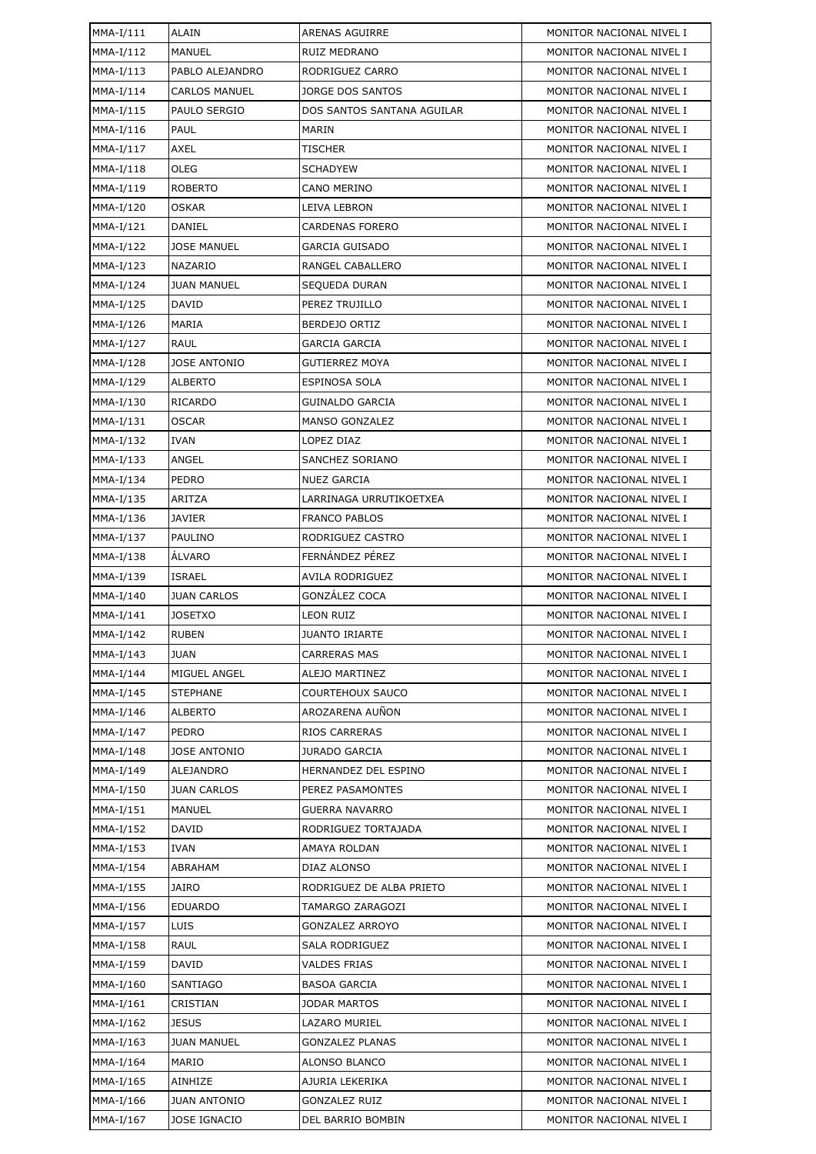| MMA-I/111   | ALAIN                | ARENAS AGUIRRE              | MONITOR NACIONAL NIVEL I |
|-------------|----------------------|-----------------------------|--------------------------|
| MMA-I/112   | <b>MANUEL</b>        | RUIZ MEDRANO                | MONITOR NACIONAL NIVEL I |
| MMA-I/113   | PABLO ALEJANDRO      | RODRIGUEZ CARRO             | MONITOR NACIONAL NIVEL I |
| $MMA-I/114$ | <b>CARLOS MANUEL</b> | JORGE DOS SANTOS            | MONITOR NACIONAL NIVEL I |
| $MMA-I/115$ | PAULO SERGIO         | DOS SANTOS SANTANA AGUILAR  | MONITOR NACIONAL NIVEL I |
| MMA-I/116   | PAUL                 | MARIN                       | MONITOR NACIONAL NIVEL I |
| MMA-I/117   | AXEL                 | TISCHER                     | MONITOR NACIONAL NIVEL I |
| $MMA-I/118$ | OLEG                 | <b>SCHADYEW</b>             | MONITOR NACIONAL NIVEL I |
| MMA-I/119   | <b>ROBERTO</b>       | CANO MERINO                 | MONITOR NACIONAL NIVEL I |
| MMA-I/120   | <b>OSKAR</b>         | LEIVA LEBRON                | MONITOR NACIONAL NIVEL I |
| MMA-I/121   | DANIEL               | <b>CARDENAS FORERO</b>      | MONITOR NACIONAL NIVEL I |
| MMA-I/122   | <b>JOSE MANUEL</b>   | GARCIA GUISADO              | MONITOR NACIONAL NIVEL I |
| $MMA-I/123$ | <b>NAZARIO</b>       | RANGEL CABALLERO            | MONITOR NACIONAL NIVEL I |
| MMA-I/124   | <b>JUAN MANUEL</b>   | SEQUEDA DURAN               | MONITOR NACIONAL NIVEL I |
| MMA-I/125   | <b>DAVID</b>         | PEREZ TRUJILLO              | MONITOR NACIONAL NIVEL I |
| MMA-I/126   | MARIA                | BERDEJO ORTIZ               | MONITOR NACIONAL NIVEL I |
| MMA-I/127   | RAUL                 | GARCIA GARCIA               | MONITOR NACIONAL NIVEL I |
| MMA-I/128   | <b>JOSE ANTONIO</b>  | <b>GUTIERREZ MOYA</b>       | MONITOR NACIONAL NIVEL I |
| MMA-I/129   | <b>ALBERTO</b>       | ESPINOSA SOLA               | MONITOR NACIONAL NIVEL I |
| MMA-I/130   | <b>RICARDO</b>       | <b>GUINALDO GARCIA</b>      | MONITOR NACIONAL NIVEL I |
| MMA-I/131   | <b>OSCAR</b>         | MANSO GONZALEZ              | MONITOR NACIONAL NIVEL I |
| MMA-I/132   | <b>IVAN</b>          | LOPEZ DIAZ                  | MONITOR NACIONAL NIVEL I |
| $MMA-I/133$ | ANGEL                | SANCHEZ SORIANO             | MONITOR NACIONAL NIVEL I |
| MMA-I/134   | PEDRO                | <b>NUEZ GARCIA</b>          | MONITOR NACIONAL NIVEL I |
| MMA-I/135   | ARITZA               | LARRINAGA URRUTIKOETXEA     | MONITOR NACIONAL NIVEL I |
| MMA-I/136   | <b>JAVIER</b>        | <b>FRANCO PABLOS</b>        | MONITOR NACIONAL NIVEL I |
| MMA-I/137   | PAULINO              | RODRIGUEZ CASTRO            | MONITOR NACIONAL NIVEL I |
| $MMA-I/138$ | <b>ALVARO</b>        | FERNÁNDEZ PÉREZ             | MONITOR NACIONAL NIVEL I |
| MMA-I/139   | <b>ISRAEL</b>        | <b>AVILA RODRIGUEZ</b>      | MONITOR NACIONAL NIVEL I |
| MMA-I/140   | <b>JUAN CARLOS</b>   | GONZÁLEZ COCA               | MONITOR NACIONAL NIVEL I |
| MMA-I/141   | <b>JOSETXO</b>       | <b>LEON RUIZ</b>            | MONITOR NACIONAL NIVEL I |
| MMA-I/142   | <b>RUBEN</b>         | <b>JUANTO IRIARTE</b>       | MONITOR NACIONAL NIVEL I |
| $MMA-I/143$ | <b>JUAN</b>          | CARRERAS MAS                | MONITOR NACIONAL NIVEL I |
| MMA-I/144   | MIGUEL ANGEL         | ALEJO MARTINEZ              | MONITOR NACIONAL NIVEL I |
| MMA-I/145   | <b>STEPHANE</b>      | <b>COURTEHOUX SAUCO</b>     | MONITOR NACIONAL NIVEL I |
| MMA-I/146   | <b>ALBERTO</b>       | AROZARENA AUÑON             | MONITOR NACIONAL NIVEL I |
| MMA-I/147   | <b>PEDRO</b>         | RIOS CARRERAS               | MONITOR NACIONAL NIVEL I |
| MMA-I/148   | <b>JOSE ANTONIO</b>  | <b>JURADO GARCIA</b>        | MONITOR NACIONAL NIVEL I |
| MMA-I/149   | ALEJANDRO            | <b>HERNANDEZ DEL ESPINO</b> | MONITOR NACIONAL NIVEL I |
| MMA-I/150   | <b>JUAN CARLOS</b>   | PEREZ PASAMONTES            | MONITOR NACIONAL NIVEL I |
| MMA-I/151   | <b>MANUEL</b>        | GUERRA NAVARRO              | MONITOR NACIONAL NIVEL I |
| MMA-I/152   | DAVID                | RODRIGUEZ TORTAJADA         | MONITOR NACIONAL NIVEL I |
| MMA-I/153   | <b>IVAN</b>          | AMAYA ROLDAN                | MONITOR NACIONAL NIVEL I |
| MMA-I/154   | ABRAHAM              | DIAZ ALONSO                 | MONITOR NACIONAL NIVEL I |
| MMA-I/155   | JAIRO                | RODRIGUEZ DE ALBA PRIETO    | MONITOR NACIONAL NIVEL I |
| MMA-I/156   | <b>EDUARDO</b>       | TAMARGO ZARAGOZI            | MONITOR NACIONAL NIVEL I |
| MMA-I/157   | LUIS                 | GONZALEZ ARROYO             | MONITOR NACIONAL NIVEL I |
| MMA-I/158   | RAUL                 | SALA RODRIGUEZ              | MONITOR NACIONAL NIVEL I |
| MMA-I/159   | <b>DAVID</b>         | <b>VALDES FRIAS</b>         | MONITOR NACIONAL NIVEL I |
| MMA-I/160   | SANTIAGO             | BASOA GARCIA                | MONITOR NACIONAL NIVEL I |
| MMA-I/161   | CRISTIAN             | <b>JODAR MARTOS</b>         | MONITOR NACIONAL NIVEL I |
| MMA-I/162   | <b>JESUS</b>         | LAZARO MURIEL               | MONITOR NACIONAL NIVEL I |
| MMA-I/163   | <b>JUAN MANUEL</b>   | <b>GONZALEZ PLANAS</b>      | MONITOR NACIONAL NIVEL I |
| MMA-I/164   | MARIO                | ALONSO BLANCO               | MONITOR NACIONAL NIVEL I |
| MMA-I/165   | AINHIZE              | AJURIA LEKERIKA             | MONITOR NACIONAL NIVEL I |
| MMA-I/166   | <b>JUAN ANTONIO</b>  | <b>GONZALEZ RUIZ</b>        | MONITOR NACIONAL NIVEL I |
| MMA-I/167   | JOSE IGNACIO         | DEL BARRIO BOMBIN           | MONITOR NACIONAL NIVEL I |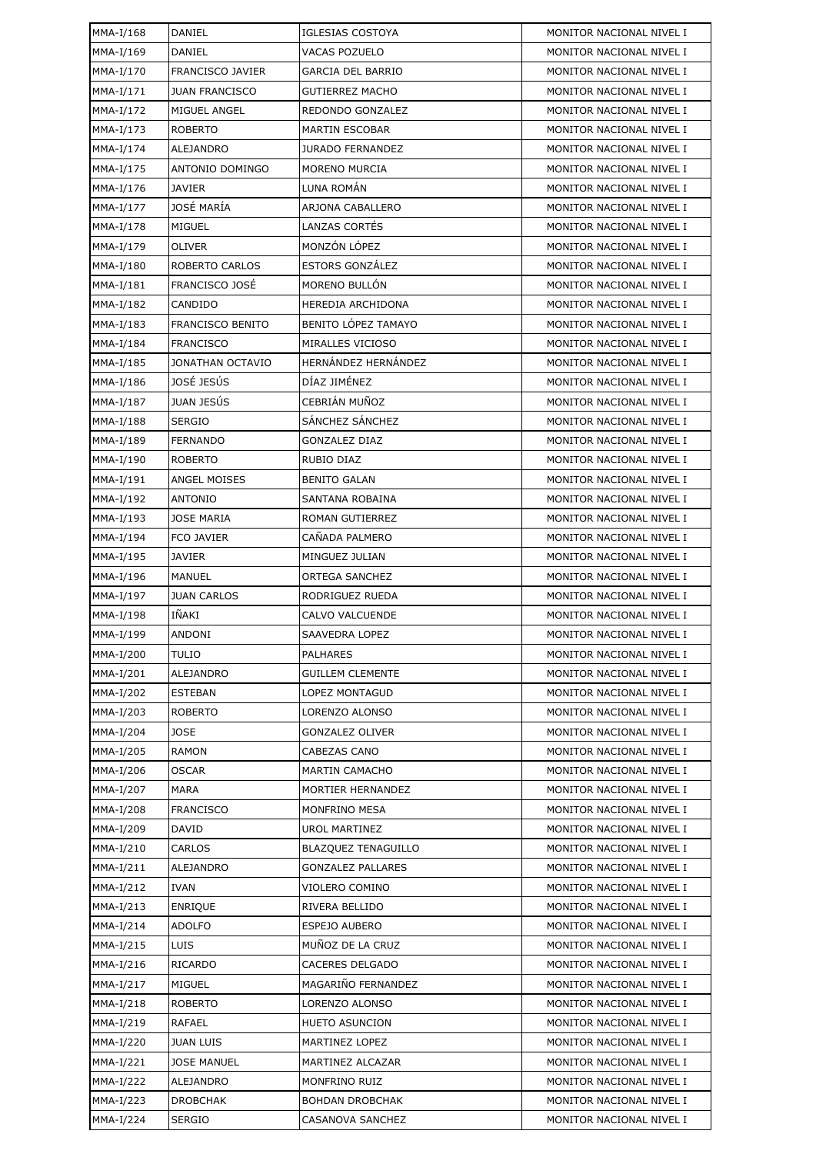| MMA-I/168   | DANIEL                  | <b>IGLESIAS COSTOYA</b>    | MONITOR NACIONAL NIVEL I |
|-------------|-------------------------|----------------------------|--------------------------|
| MMA-I/169   | DANIEL                  | VACAS POZUELO              | MONITOR NACIONAL NIVEL I |
| MMA-I/170   | <b>FRANCISCO JAVIER</b> | <b>GARCIA DEL BARRIO</b>   | MONITOR NACIONAL NIVEL I |
| MMA-I/171   | <b>JUAN FRANCISCO</b>   | <b>GUTIERREZ MACHO</b>     | MONITOR NACIONAL NIVEL I |
| MMA-I/172   | MIGUEL ANGEL            | REDONDO GONZALEZ           | MONITOR NACIONAL NIVEL I |
| $MMA-I/173$ | <b>ROBERTO</b>          | <b>MARTIN ESCOBAR</b>      | MONITOR NACIONAL NIVEL I |
| MMA-I/174   | ALEJANDRO               | <b>JURADO FERNANDEZ</b>    | MONITOR NACIONAL NIVEL I |
| MMA-I/175   | ANTONIO DOMINGO         | <b>MORENO MURCIA</b>       | MONITOR NACIONAL NIVEL I |
| MMA-I/176   | <b>JAVIER</b>           | LUNA ROMÁN                 | MONITOR NACIONAL NIVEL I |
| MMA-I/177   | JOSÉ MARÍA              | ARJONA CABALLERO           | MONITOR NACIONAL NIVEL I |
| MMA-I/178   | MIGUEL                  | LANZAS CORTÉS              | MONITOR NACIONAL NIVEL I |
| MMA-I/179   | <b>OLIVER</b>           | MONZÓN LÓPEZ               | MONITOR NACIONAL NIVEL I |
| MMA-I/180   | ROBERTO CARLOS          | <b>ESTORS GONZÁLEZ</b>     | MONITOR NACIONAL NIVEL I |
| MMA-I/181   | FRANCISCO JOSÉ          | MORENO BULLÓN              | MONITOR NACIONAL NIVEL I |
| MMA-I/182   | CANDIDO                 | HEREDIA ARCHIDONA          | MONITOR NACIONAL NIVEL I |
| MMA-I/183   | <b>FRANCISCO BENITO</b> | BENITO LÓPEZ TAMAYO        | MONITOR NACIONAL NIVEL I |
| MMA-I/184   | <b>FRANCISCO</b>        | MIRALLES VICIOSO           | MONITOR NACIONAL NIVEL I |
| MMA-I/185   | JONATHAN OCTAVIO        | HERNÁNDEZ HERNÁNDEZ        | MONITOR NACIONAL NIVEL I |
| MMA-I/186   | JOSÉ JESÚS              | DÍAZ JIMÉNEZ               | MONITOR NACIONAL NIVEL I |
| MMA-I/187   | JUAN JESÚS              | CEBRIÁN MUÑOZ              | MONITOR NACIONAL NIVEL I |
| MMA-I/188   | <b>SERGIO</b>           | SÁNCHEZ SÁNCHEZ            | MONITOR NACIONAL NIVEL I |
| MMA-I/189   | <b>FERNANDO</b>         | <b>GONZALEZ DIAZ</b>       | MONITOR NACIONAL NIVEL I |
| MMA-I/190   | <b>ROBERTO</b>          | RUBIO DIAZ                 | MONITOR NACIONAL NIVEL I |
| MMA-I/191   | ANGEL MOISES            | <b>BENITO GALAN</b>        | MONITOR NACIONAL NIVEL I |
| MMA-I/192   | <b>ANTONIO</b>          | SANTANA ROBAINA            | MONITOR NACIONAL NIVEL I |
| MMA-I/193   | <b>JOSE MARIA</b>       | ROMAN GUTIERREZ            | MONITOR NACIONAL NIVEL I |
| MMA-I/194   | <b>FCO JAVIER</b>       | CAÑADA PALMERO             | MONITOR NACIONAL NIVEL I |
| MMA-I/195   | <b>JAVIER</b>           | MINGUEZ JULIAN             | MONITOR NACIONAL NIVEL I |
| MMA-I/196   | <b>MANUEL</b>           | ORTEGA SANCHEZ             | MONITOR NACIONAL NIVEL I |
| MMA-I/197   | <b>JUAN CARLOS</b>      | RODRIGUEZ RUEDA            | MONITOR NACIONAL NIVEL I |
| MMA-I/198   | IÑAKI                   | CALVO VALCUENDE            | MONITOR NACIONAL NIVEL I |
| MMA-I/199   | ANDONI                  | SAAVEDRA LOPEZ             | MONITOR NACIONAL NIVEL I |
| MMA-I/200   | <b>TULIO</b>            | PALHARES                   | MONITOR NACIONAL NIVEL I |
| MMA-I/201   | ALEJANDRO               | <b>GUILLEM CLEMENTE</b>    | MONITOR NACIONAL NIVEL I |
| MMA-I/202   | <b>ESTEBAN</b>          | LOPEZ MONTAGUD             | MONITOR NACIONAL NIVEL I |
| MMA-I/203   | <b>ROBERTO</b>          | LORENZO ALONSO             | MONITOR NACIONAL NIVEL I |
| MMA-I/204   | <b>JOSE</b>             | <b>GONZALEZ OLIVER</b>     | MONITOR NACIONAL NIVEL I |
| MMA-I/205   | <b>RAMON</b>            | CABEZAS CANO               | MONITOR NACIONAL NIVEL I |
| MMA-I/206   | OSCAR                   | <b>MARTIN CAMACHO</b>      | MONITOR NACIONAL NIVEL I |
| MMA-I/207   | <b>MARA</b>             | MORTIER HERNANDEZ          | MONITOR NACIONAL NIVEL I |
| MMA-I/208   | <b>FRANCISCO</b>        | MONFRINO MESA              | MONITOR NACIONAL NIVEL I |
| MMA-I/209   | DAVID                   | <b>UROL MARTINEZ</b>       | MONITOR NACIONAL NIVEL I |
| MMA-I/210   | CARLOS                  | <b>BLAZQUEZ TENAGUILLO</b> | MONITOR NACIONAL NIVEL I |
| MMA-I/211   | ALEJANDRO               | <b>GONZALEZ PALLARES</b>   | MONITOR NACIONAL NIVEL I |
| MMA-I/212   | <b>IVAN</b>             | VIOLERO COMINO             | MONITOR NACIONAL NIVEL I |
| MMA-I/213   | <b>ENRIQUE</b>          | RIVERA BELLIDO             | MONITOR NACIONAL NIVEL I |
| MMA-I/214   | <b>ADOLFO</b>           | ESPEJO AUBERO              | MONITOR NACIONAL NIVEL I |
| MMA-I/215   | LUIS                    | MUÑOZ DE LA CRUZ           | MONITOR NACIONAL NIVEL I |
| MMA-I/216   | <b>RICARDO</b>          | CACERES DELGADO            | MONITOR NACIONAL NIVEL I |
| MMA-I/217   | MIGUEL                  | MAGARIÑO FERNANDEZ         | MONITOR NACIONAL NIVEL I |
| MMA-I/218   | <b>ROBERTO</b>          | LORENZO ALONSO             | MONITOR NACIONAL NIVEL I |
| MMA-I/219   | <b>RAFAEL</b>           | <b>HUETO ASUNCION</b>      | MONITOR NACIONAL NIVEL I |
| MMA-I/220   | <b>JUAN LUIS</b>        | MARTINEZ LOPEZ             | MONITOR NACIONAL NIVEL I |
| MMA-I/221   | <b>JOSE MANUEL</b>      | MARTINEZ ALCAZAR           | MONITOR NACIONAL NIVEL I |
| MMA-I/222   | ALEJANDRO               | <b>MONFRINO RUIZ</b>       | MONITOR NACIONAL NIVEL I |
| MMA-I/223   | <b>DROBCHAK</b>         | <b>BOHDAN DROBCHAK</b>     | MONITOR NACIONAL NIVEL I |
| MMA-I/224   | <b>SERGIO</b>           | CASANOVA SANCHEZ           | MONITOR NACIONAL NIVEL I |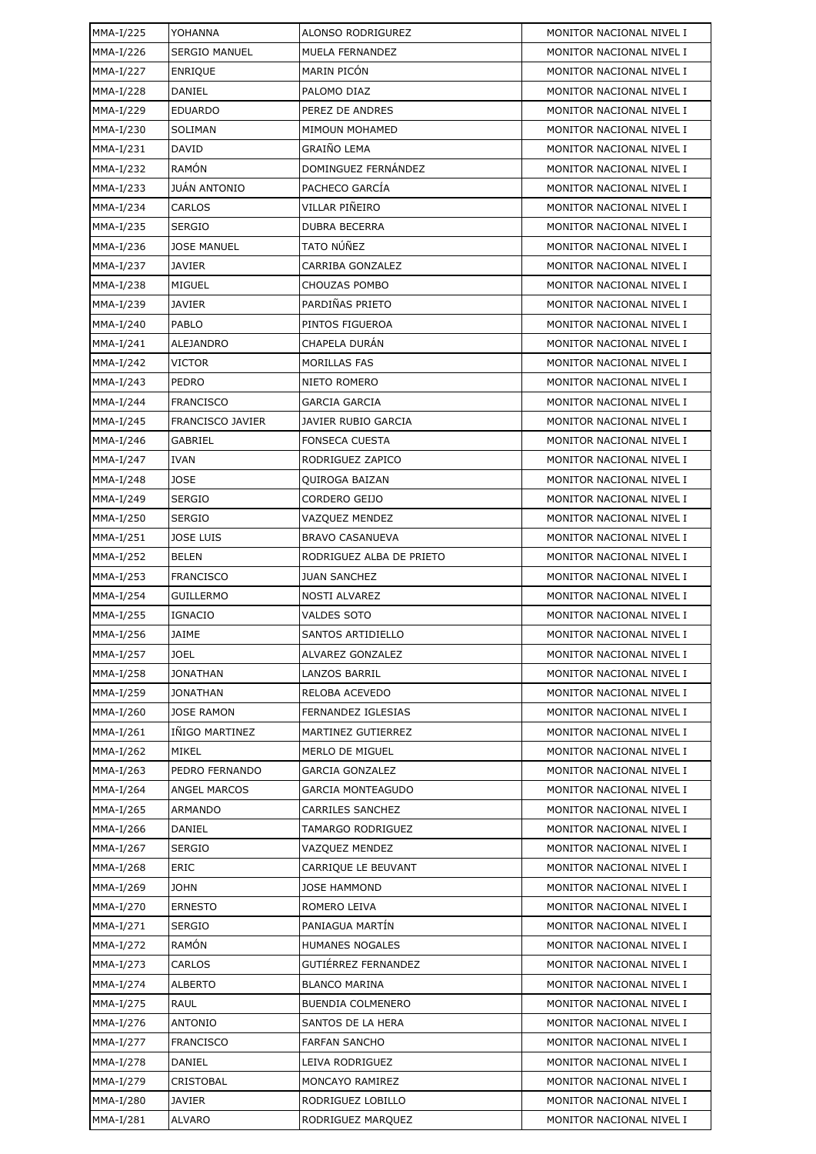| MMA-I/225 | YOHANNA              | ALONSO RODRIGUREZ         | MONITOR NACIONAL NIVEL I |
|-----------|----------------------|---------------------------|--------------------------|
| MMA-I/226 | <b>SERGIO MANUEL</b> | MUELA FERNANDEZ           | MONITOR NACIONAL NIVEL I |
| MMA-I/227 | <b>ENRIQUE</b>       | <b>MARIN PICÓN</b>        | MONITOR NACIONAL NIVEL I |
| MMA-I/228 | DANIEL               | PALOMO DIAZ               | MONITOR NACIONAL NIVEL I |
| MMA-I/229 | <b>EDUARDO</b>       | PEREZ DE ANDRES           | MONITOR NACIONAL NIVEL I |
| MMA-I/230 | SOLIMAN              | MIMOUN MOHAMED            | MONITOR NACIONAL NIVEL I |
| MMA-I/231 | DAVID                | GRAIÑO LEMA               | MONITOR NACIONAL NIVEL I |
| MMA-I/232 | <b>RAMÓN</b>         | DOMINGUEZ FERNÁNDEZ       | MONITOR NACIONAL NIVEL I |
| MMA-I/233 | <b>JUÁN ANTONIO</b>  | PACHECO GARCÍA            | MONITOR NACIONAL NIVEL I |
| MMA-I/234 | CARLOS               | VILLAR PIÑEIRO            | MONITOR NACIONAL NIVEL I |
| MMA-I/235 | <b>SERGIO</b>        | <b>DUBRA BECERRA</b>      | MONITOR NACIONAL NIVEL I |
| MMA-I/236 | <b>JOSE MANUEL</b>   | TATO NÚÑEZ                | MONITOR NACIONAL NIVEL I |
| MMA-I/237 | <b>JAVIER</b>        | CARRIBA GONZALEZ          | MONITOR NACIONAL NIVEL I |
| MMA-I/238 | MIGUEL               | CHOUZAS POMBO             | MONITOR NACIONAL NIVEL I |
| MMA-I/239 | <b>JAVIER</b>        | PARDIÑAS PRIETO           | MONITOR NACIONAL NIVEL I |
| MMA-I/240 | <b>PABLO</b>         | PINTOS FIGUEROA           | MONITOR NACIONAL NIVEL I |
| MMA-I/241 | ALEJANDRO            | CHAPELA DURAN             | MONITOR NACIONAL NIVEL I |
| MMA-I/242 | VICTOR               | <b>MORILLAS FAS</b>       | MONITOR NACIONAL NIVEL I |
| MMA-I/243 | <b>PEDRO</b>         | NIETO ROMERO              | MONITOR NACIONAL NIVEL I |
| MMA-I/244 | <b>FRANCISCO</b>     | <b>GARCIA GARCIA</b>      | MONITOR NACIONAL NIVEL I |
| MMA-I/245 | FRANCISCO JAVIER     | JAVIER RUBIO GARCIA       | MONITOR NACIONAL NIVEL I |
| MMA-I/246 | GABRIEL              | <b>FONSECA CUESTA</b>     | MONITOR NACIONAL NIVEL I |
| MMA-I/247 | <b>IVAN</b>          | RODRIGUEZ ZAPICO          | MONITOR NACIONAL NIVEL I |
| MMA-I/248 | <b>JOSE</b>          | QUIROGA BAIZAN            | MONITOR NACIONAL NIVEL I |
| MMA-I/249 | <b>SERGIO</b>        | CORDERO GEIJO             | MONITOR NACIONAL NIVEL I |
| MMA-I/250 | <b>SERGIO</b>        | VAZQUEZ MENDEZ            | MONITOR NACIONAL NIVEL I |
| MMA-I/251 | <b>JOSE LUIS</b>     | <b>BRAVO CASANUEVA</b>    | MONITOR NACIONAL NIVEL I |
| MMA-I/252 | BELEN                | RODRIGUEZ ALBA DE PRIETO  | MONITOR NACIONAL NIVEL I |
| MMA-I/253 | <b>FRANCISCO</b>     | <b>JUAN SANCHEZ</b>       | MONITOR NACIONAL NIVEL I |
| MMA-I/254 | <b>GUILLERMO</b>     | NOSTI ALVAREZ             | MONITOR NACIONAL NIVEL I |
| MMA-I/255 | <b>IGNACIO</b>       | <b>VALDES SOTO</b>        | MONITOR NACIONAL NIVEL I |
| MMA-I/256 | JAIME                | SANTOS ARTIDIELLO         | MONITOR NACIONAL NIVEL I |
| MMA-I/257 | <b>JOEL</b>          | ALVAREZ GONZALEZ          | MONITOR NACIONAL NIVEL I |
| MMA-I/258 | <b>JONATHAN</b>      | LANZOS BARRIL             | MONITOR NACIONAL NIVEL I |
| MMA-I/259 | <b>JONATHAN</b>      | RELOBA ACEVEDO            | MONITOR NACIONAL NIVEL I |
| MMA-I/260 | <b>JOSE RAMON</b>    | FERNANDEZ IGLESIAS        | MONITOR NACIONAL NIVEL I |
| MMA-I/261 | IÑIGO MARTINEZ       | <b>MARTINEZ GUTIERREZ</b> | MONITOR NACIONAL NIVEL I |
| MMA-I/262 | MIKEL                | MERLO DE MIGUEL           | MONITOR NACIONAL NIVEL I |
| MMA-I/263 | PEDRO FERNANDO       | <b>GARCIA GONZALEZ</b>    | MONITOR NACIONAL NIVEL I |
| MMA-I/264 | ANGEL MARCOS         | <b>GARCIA MONTEAGUDO</b>  | MONITOR NACIONAL NIVEL I |
| MMA-I/265 | <b>ARMANDO</b>       | <b>CARRILES SANCHEZ</b>   | MONITOR NACIONAL NIVEL I |
| MMA-I/266 | DANIEL               | TAMARGO RODRIGUEZ         | MONITOR NACIONAL NIVEL I |
| MMA-I/267 | <b>SERGIO</b>        | VAZQUEZ MENDEZ            | MONITOR NACIONAL NIVEL I |
| MMA-I/268 | ERIC                 | CARRIQUE LE BEUVANT       | MONITOR NACIONAL NIVEL I |
| MMA-I/269 | <b>JOHN</b>          | <b>JOSE HAMMOND</b>       | MONITOR NACIONAL NIVEL I |
| MMA-I/270 | <b>ERNESTO</b>       | ROMERO LEIVA              | MONITOR NACIONAL NIVEL I |
| MMA-I/271 | <b>SERGIO</b>        | PANIAGUA MARTÍN           | MONITOR NACIONAL NIVEL I |
| MMA-I/272 | <b>RAMÓN</b>         | HUMANES NOGALES           | MONITOR NACIONAL NIVEL I |
| MMA-I/273 | CARLOS               | GUTIÉRREZ FERNANDEZ       | MONITOR NACIONAL NIVEL I |
| MMA-I/274 | <b>ALBERTO</b>       | <b>BLANCO MARINA</b>      | MONITOR NACIONAL NIVEL I |
| MMA-I/275 | RAUL                 | BUENDIA COLMENERO         | MONITOR NACIONAL NIVEL I |
| MMA-I/276 | <b>ANTONIO</b>       | SANTOS DE LA HERA         | MONITOR NACIONAL NIVEL I |
| MMA-I/277 | <b>FRANCISCO</b>     | <b>FARFAN SANCHO</b>      | MONITOR NACIONAL NIVEL I |
| MMA-I/278 | DANIEL               | LEIVA RODRIGUEZ           | MONITOR NACIONAL NIVEL I |
| MMA-I/279 | CRISTOBAL            | MONCAYO RAMIREZ           | MONITOR NACIONAL NIVEL I |
| MMA-I/280 | JAVIER               | RODRIGUEZ LOBILLO         | MONITOR NACIONAL NIVEL I |
| MMA-I/281 | <b>ALVARO</b>        | RODRIGUEZ MARQUEZ         | MONITOR NACIONAL NIVEL I |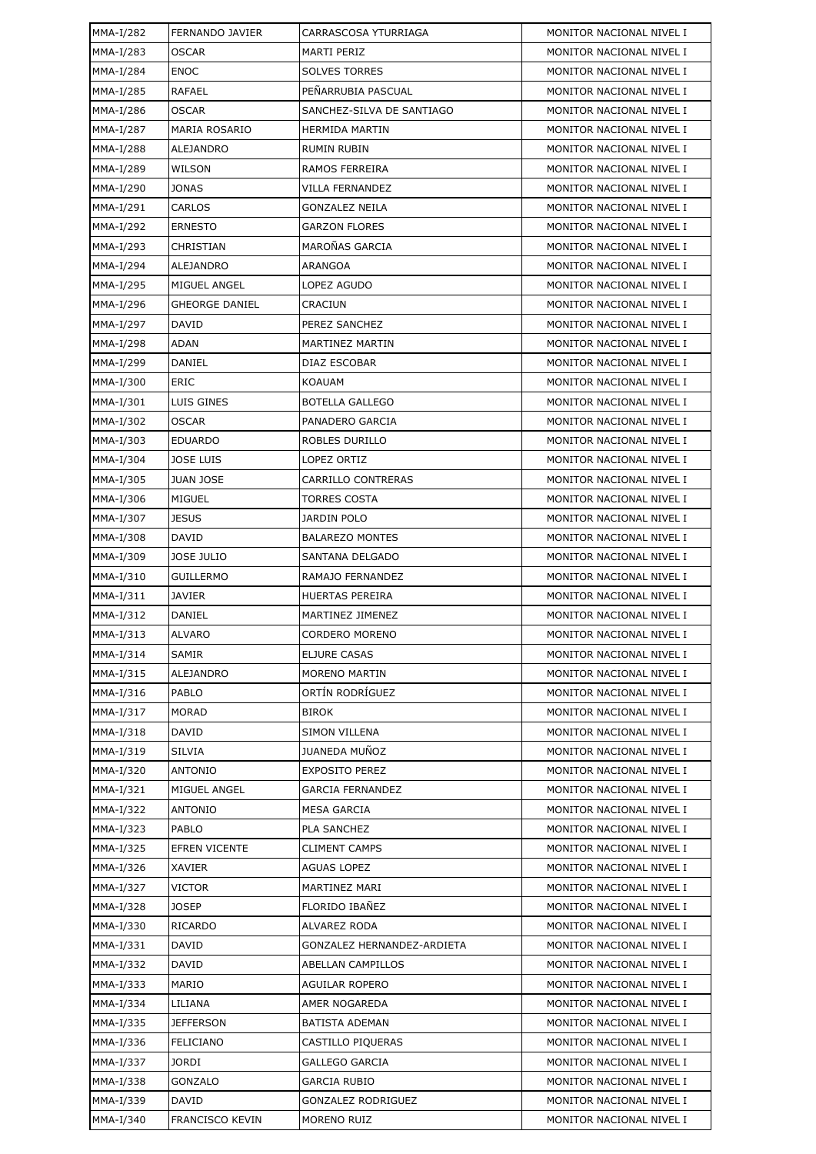| MMA-I/282   | FERNANDO JAVIER        | CARRASCOSA YTURRIAGA       | MONITOR NACIONAL NIVEL I |
|-------------|------------------------|----------------------------|--------------------------|
| MMA-I/283   | <b>OSCAR</b>           | MARTI PERIZ                | MONITOR NACIONAL NIVEL I |
| MMA-I/284   | <b>ENOC</b>            | <b>SOLVES TORRES</b>       | MONITOR NACIONAL NIVEL I |
| MMA-I/285   | RAFAEL                 | PENARRUBIA PASCUAL         | MONITOR NACIONAL NIVEL I |
| MMA-I/286   | <b>OSCAR</b>           | SANCHEZ-SILVA DE SANTIAGO  | MONITOR NACIONAL NIVEL I |
| MMA-I/287   | MARIA ROSARIO          | HERMIDA MARTIN             | MONITOR NACIONAL NIVEL I |
| MMA-I/288   | ALEJANDRO              | RUMIN RUBIN                | MONITOR NACIONAL NIVEL I |
| MMA-I/289   | WILSON                 | RAMOS FERREIRA             | MONITOR NACIONAL NIVEL I |
| MMA-I/290   | <b>JONAS</b>           | VILLA FERNANDEZ            | MONITOR NACIONAL NIVEL I |
| MMA-I/291   | CARLOS                 | GONZALEZ NEILA             | MONITOR NACIONAL NIVEL I |
| MMA-I/292   | <b>ERNESTO</b>         | <b>GARZON FLORES</b>       | MONITOR NACIONAL NIVEL I |
| MMA-I/293   | CHRISTIAN              | MAROÑAS GARCIA             | MONITOR NACIONAL NIVEL I |
| MMA-I/294   | ALEJANDRO              | ARANGOA                    | MONITOR NACIONAL NIVEL I |
| MMA-I/295   | MIGUEL ANGEL           | LOPEZ AGUDO                | MONITOR NACIONAL NIVEL I |
| MMA-I/296   | <b>GHEORGE DANIEL</b>  | CRACIUN                    | MONITOR NACIONAL NIVEL I |
| MMA-I/297   | <b>DAVID</b>           | PEREZ SANCHEZ              | MONITOR NACIONAL NIVEL I |
| MMA-I/298   | <b>ADAN</b>            | MARTINEZ MARTIN            | MONITOR NACIONAL NIVEL I |
| MMA-I/299   | DANIEL                 | DIAZ ESCOBAR               | MONITOR NACIONAL NIVEL I |
| MMA-I/300   | <b>ERIC</b>            | KOAUAM                     | MONITOR NACIONAL NIVEL I |
| MMA-I/301   | LUIS GINES             | <b>BOTELLA GALLEGO</b>     | MONITOR NACIONAL NIVEL I |
| MMA-I/302   | <b>OSCAR</b>           | PANADERO GARCIA            | MONITOR NACIONAL NIVEL I |
| MMA-I/303   | <b>EDUARDO</b>         | ROBLES DURILLO             | MONITOR NACIONAL NIVEL I |
| MMA-I/304   | <b>JOSE LUIS</b>       | LOPEZ ORTIZ                | MONITOR NACIONAL NIVEL I |
| MMA-I/305   | <b>JUAN JOSE</b>       | CARRILLO CONTRERAS         | MONITOR NACIONAL NIVEL I |
| MMA-I/306   | MIGUEL                 | <b>TORRES COSTA</b>        | MONITOR NACIONAL NIVEL I |
| MMA-I/307   | <b>JESUS</b>           | JARDIN POLO                | MONITOR NACIONAL NIVEL I |
| MMA-I/308   | DAVID                  | <b>BALAREZO MONTES</b>     | MONITOR NACIONAL NIVEL I |
| MMA-I/309   | <b>JOSE JULIO</b>      | SANTANA DELGADO            | MONITOR NACIONAL NIVEL I |
| MMA-I/310   | <b>GUILLERMO</b>       | RAMAJO FERNANDEZ           | MONITOR NACIONAL NIVEL I |
| MMA-I/311   | JAVIER                 | HUERTAS PEREIRA            | MONITOR NACIONAL NIVEL I |
| MMA-I/312   | DANIEL                 | MARTINEZ JIMENEZ           | MONITOR NACIONAL NIVEL I |
| MMA-I/313   | <b>ALVARO</b>          | <b>CORDERO MORENO</b>      | MONITOR NACIONAL NIVEL I |
| MMA-I/314   | SAMIR                  | ELJURE CASAS               | MONITOR NACIONAL NIVEL I |
| MMA-I/315   | ALEJANDRO              | <b>MORENO MARTIN</b>       | MONITOR NACIONAL NIVEL I |
| MMA-I/316   | PABLO                  | ORTÍN RODRÍGUEZ            | MONITOR NACIONAL NIVEL I |
| MMA-I/317   | <b>MORAD</b>           | <b>BIROK</b>               | MONITOR NACIONAL NIVEL I |
| $MMA-I/318$ | DAVID                  | <b>SIMON VILLENA</b>       | MONITOR NACIONAL NIVEL I |
| MMA-I/319   | <b>SILVIA</b>          | JUANEDA MUÑOZ              | MONITOR NACIONAL NIVEL I |
| MMA-I/320   | ANTONIO                | <b>EXPOSITO PEREZ</b>      | MONITOR NACIONAL NIVEL I |
| MMA-I/321   | MIGUEL ANGEL           | <b>GARCIA FERNANDEZ</b>    | MONITOR NACIONAL NIVEL I |
| MMA-I/322   | <b>ANTONIO</b>         | <b>MESA GARCIA</b>         | MONITOR NACIONAL NIVEL I |
| MMA-I/323   | PABLO                  | PLA SANCHEZ                | MONITOR NACIONAL NIVEL I |
| MMA-I/325   | <b>EFREN VICENTE</b>   | <b>CLIMENT CAMPS</b>       | MONITOR NACIONAL NIVEL I |
| MMA-I/326   | XAVIER                 | <b>AGUAS LOPEZ</b>         | MONITOR NACIONAL NIVEL I |
| MMA-I/327   | VICTOR                 | MARTINEZ MARI              | MONITOR NACIONAL NIVEL I |
| MMA-I/328   | <b>JOSEP</b>           | FLORIDO IBAÑEZ             | MONITOR NACIONAL NIVEL I |
| MMA-I/330   | <b>RICARDO</b>         | ALVAREZ RODA               | MONITOR NACIONAL NIVEL I |
| MMA-I/331   | DAVID                  | GONZALEZ HERNANDEZ-ARDIETA | MONITOR NACIONAL NIVEL I |
| MMA-I/332   | DAVID                  | ABELLAN CAMPILLOS          | MONITOR NACIONAL NIVEL I |
| MMA-I/333   | MARIO                  | AGUILAR ROPERO             | MONITOR NACIONAL NIVEL I |
| MMA-I/334   | LILIANA                | AMER NOGAREDA              | MONITOR NACIONAL NIVEL I |
| MMA-I/335   | <b>JEFFERSON</b>       | <b>BATISTA ADEMAN</b>      | MONITOR NACIONAL NIVEL I |
| MMA-I/336   | <b>FELICIANO</b>       | CASTILLO PIQUERAS          | MONITOR NACIONAL NIVEL I |
| MMA-I/337   | JORDI                  | <b>GALLEGO GARCIA</b>      | MONITOR NACIONAL NIVEL I |
| MMA-I/338   | <b>GONZALO</b>         | GARCIA RUBIO               | MONITOR NACIONAL NIVEL I |
| MMA-I/339   | <b>DAVID</b>           | <b>GONZALEZ RODRIGUEZ</b>  | MONITOR NACIONAL NIVEL I |
| MMA-I/340   | <b>FRANCISCO KEVIN</b> | MORENO RUIZ                | MONITOR NACIONAL NIVEL I |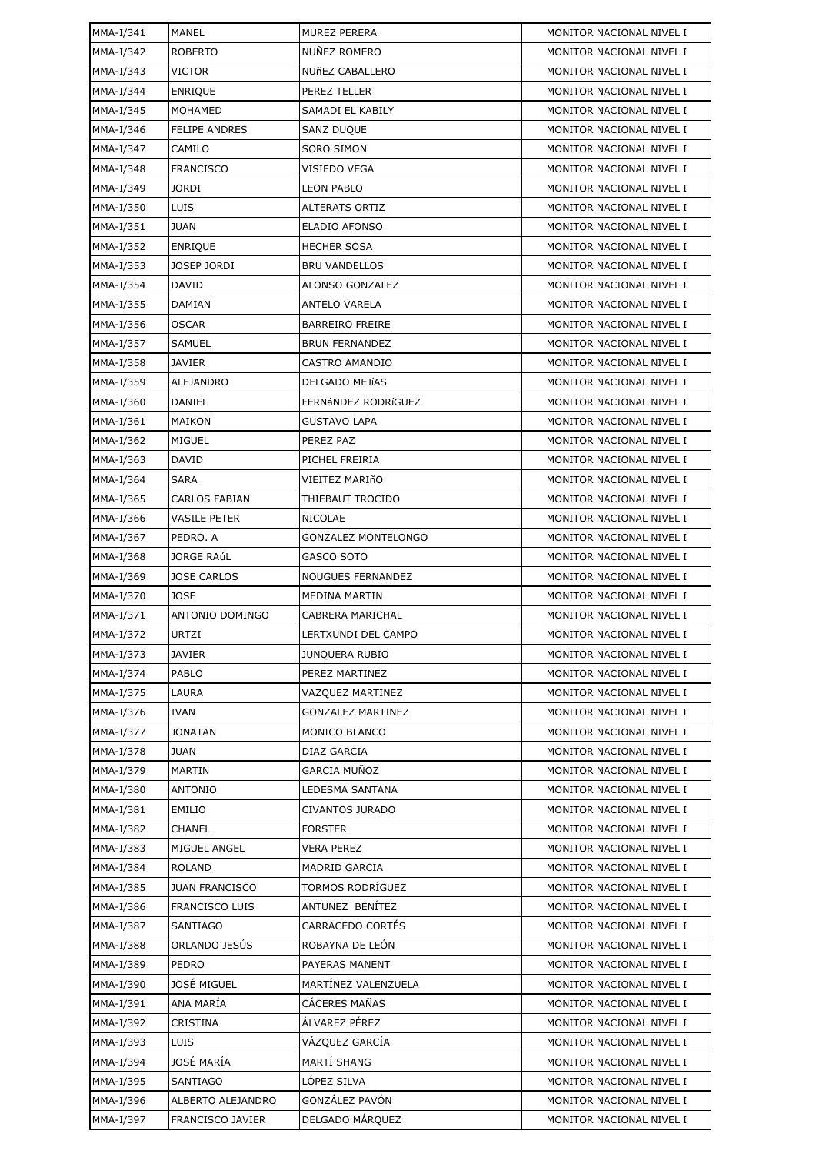| MMA-I/341 | MANEL                 | MUREZ PERERA               | MONITOR NACIONAL NIVEL I |
|-----------|-----------------------|----------------------------|--------------------------|
| MMA-I/342 | <b>ROBERTO</b>        | NUÑEZ ROMERO               | MONITOR NACIONAL NIVEL I |
| MMA-I/343 | <b>VICTOR</b>         | <b>NUñEZ CABALLERO</b>     | MONITOR NACIONAL NIVEL I |
| MMA-I/344 | <b>ENRIQUE</b>        | PEREZ TELLER               | MONITOR NACIONAL NIVEL I |
| MMA-I/345 | <b>MOHAMED</b>        | SAMADI EL KABILY           | MONITOR NACIONAL NIVEL I |
| MMA-I/346 | <b>FELIPE ANDRES</b>  | SANZ DUQUE                 | MONITOR NACIONAL NIVEL I |
| MMA-I/347 | CAMILO                | <b>SORO SIMON</b>          | MONITOR NACIONAL NIVEL I |
| MMA-I/348 | <b>FRANCISCO</b>      | VISIEDO VEGA               | MONITOR NACIONAL NIVEL I |
| MMA-I/349 | <b>JORDI</b>          | <b>LEON PABLO</b>          | MONITOR NACIONAL NIVEL I |
| MMA-I/350 | LUIS                  | <b>ALTERATS ORTIZ</b>      | MONITOR NACIONAL NIVEL I |
| MMA-I/351 | <b>JUAN</b>           | ELADIO AFONSO              | MONITOR NACIONAL NIVEL I |
| MMA-I/352 | <b>ENRIQUE</b>        | HECHER SOSA                | MONITOR NACIONAL NIVEL I |
| MMA-I/353 | JOSEP JORDI           | <b>BRU VANDELLOS</b>       | MONITOR NACIONAL NIVEL I |
| MMA-I/354 | DAVID                 | ALONSO GONZALEZ            | MONITOR NACIONAL NIVEL I |
| MMA-I/355 | DAMIAN                | ANTELO VARELA              | MONITOR NACIONAL NIVEL I |
| MMA-I/356 | <b>OSCAR</b>          | <b>BARREIRO FREIRE</b>     | MONITOR NACIONAL NIVEL I |
| MMA-I/357 | SAMUEL                | <b>BRUN FERNANDEZ</b>      | MONITOR NACIONAL NIVEL I |
| MMA-I/358 | <b>JAVIER</b>         | CASTRO AMANDIO             | MONITOR NACIONAL NIVEL I |
| MMA-I/359 | <b>ALEJANDRO</b>      | DELGADO MEJÍAS             | MONITOR NACIONAL NIVEL I |
| MMA-I/360 | DANIEL                | FERNÁNDEZ RODRÍGUEZ        | MONITOR NACIONAL NIVEL I |
| MMA-I/361 | MAIKON                | <b>GUSTAVO LAPA</b>        | MONITOR NACIONAL NIVEL I |
| MMA-I/362 | MIGUEL                | PEREZ PAZ                  | MONITOR NACIONAL NIVEL I |
| MMA-I/363 | DAVID                 | PICHEL FREIRIA             | MONITOR NACIONAL NIVEL I |
| MMA-I/364 | <b>SARA</b>           | VIEITEZ MARIñO             | MONITOR NACIONAL NIVEL I |
| MMA-I/365 | <b>CARLOS FABIAN</b>  | THIEBAUT TROCIDO           | MONITOR NACIONAL NIVEL I |
| MMA-I/366 | VASILE PETER          | <b>NICOLAE</b>             | MONITOR NACIONAL NIVEL I |
| MMA-I/367 | PEDRO. A              | <b>GONZALEZ MONTELONGO</b> | MONITOR NACIONAL NIVEL I |
| MMA-I/368 | <b>JORGE RAÚL</b>     | GASCO SOTO                 | MONITOR NACIONAL NIVEL I |
| MMA-I/369 | <b>JOSE CARLOS</b>    | NOUGUES FERNANDEZ          | MONITOR NACIONAL NIVEL I |
| MMA-I/370 | <b>JOSE</b>           | MEDINA MARTIN              | MONITOR NACIONAL NIVEL I |
| MMA-I/371 | ANTONIO DOMINGO       | CABRERA MARICHAL           | MONITOR NACIONAL NIVEL I |
| MMA-I/372 | <b>URTZI</b>          | LERTXUNDI DEL CAMPO        | MONITOR NACIONAL NIVEL I |
| MMA-I/373 | <b>JAVIER</b>         | <b>JUNQUERA RUBIO</b>      | MONITOR NACIONAL NIVEL I |
| MMA-I/374 | PABLO                 | PEREZ MARTINEZ             | MONITOR NACIONAL NIVEL I |
| MMA-I/375 | LAURA                 | VAZQUEZ MARTINEZ           | MONITOR NACIONAL NIVEL I |
| MMA-I/376 | <b>IVAN</b>           | <b>GONZALEZ MARTINEZ</b>   | MONITOR NACIONAL NIVEL I |
| MMA-I/377 | <b>JONATAN</b>        | MONICO BLANCO              | MONITOR NACIONAL NIVEL I |
| MMA-I/378 | <b>JUAN</b>           | DIAZ GARCIA                | MONITOR NACIONAL NIVEL I |
| MMA-I/379 | MARTIN                | <b>GARCIA MUÑOZ</b>        | MONITOR NACIONAL NIVEL I |
| MMA-I/380 | <b>ANTONIO</b>        | LEDESMA SANTANA            | MONITOR NACIONAL NIVEL I |
| MMA-I/381 | <b>EMILIO</b>         | <b>CIVANTOS JURADO</b>     | MONITOR NACIONAL NIVEL I |
| MMA-I/382 | CHANEL                | <b>FORSTER</b>             | MONITOR NACIONAL NIVEL I |
| MMA-I/383 | MIGUEL ANGEL          | <b>VERA PEREZ</b>          | MONITOR NACIONAL NIVEL I |
| MMA-I/384 | <b>ROLAND</b>         | MADRID GARCIA              | MONITOR NACIONAL NIVEL I |
| MMA-I/385 | <b>JUAN FRANCISCO</b> | TORMOS RODRÍGUEZ           | MONITOR NACIONAL NIVEL I |
| MMA-I/386 | <b>FRANCISCO LUIS</b> | ANTUNEZ BENÍTEZ            | MONITOR NACIONAL NIVEL I |
| MMA-I/387 | <b>SANTIAGO</b>       | CARRACEDO CORTÉS           | MONITOR NACIONAL NIVEL I |
| MMA-I/388 | ORLANDO JESÚS         | ROBAYNA DE LEÓN            | MONITOR NACIONAL NIVEL I |
| MMA-I/389 | PEDRO                 | PAYERAS MANENT             | MONITOR NACIONAL NIVEL I |
| MMA-I/390 | JOSÉ MIGUEL           | MARTÍNEZ VALENZUELA        | MONITOR NACIONAL NIVEL I |
| MMA-I/391 | ANA MARÍA             | <b>CÁCERES MAÑAS</b>       | MONITOR NACIONAL NIVEL I |
| MMA-I/392 | CRISTINA              | ÁLVAREZ PÉREZ              | MONITOR NACIONAL NIVEL I |
| MMA-I/393 | LUIS                  | VÁZQUEZ GARCÍA             | MONITOR NACIONAL NIVEL I |
| MMA-I/394 | JOSÉ MARÍA            | MARTÍ SHANG                | MONITOR NACIONAL NIVEL I |
| MMA-I/395 | <b>SANTIAGO</b>       | LÓPEZ SILVA                | MONITOR NACIONAL NIVEL I |
| MMA-I/396 | ALBERTO ALEJANDRO     | GONZÁLEZ PAVÓN             | MONITOR NACIONAL NIVEL I |
| MMA-I/397 | FRANCISCO JAVIER      | DELGADO MÁRQUEZ            | MONITOR NACIONAL NIVEL I |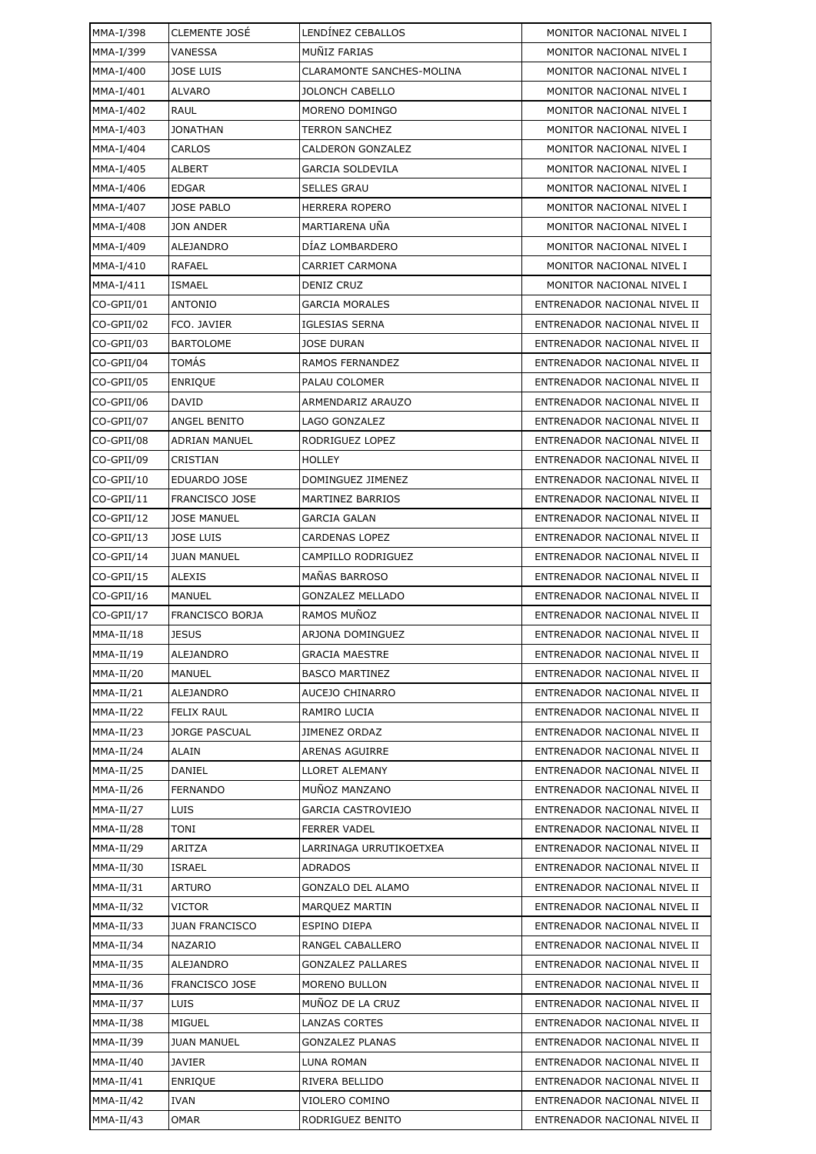| MMA-I/398   | <b>CLEMENTE JOSÉ</b>   | LENDÍNEZ CEBALLOS         | MONITOR NACIONAL NIVEL I     |
|-------------|------------------------|---------------------------|------------------------------|
| MMA-I/399   | <b>VANESSA</b>         | MUÑIZ FARIAS              | MONITOR NACIONAL NIVEL I     |
| MMA-I/400   | <b>JOSE LUIS</b>       | CLARAMONTE SANCHES-MOLINA | MONITOR NACIONAL NIVEL I     |
| MMA-I/401   | <b>ALVARO</b>          | <b>JOLONCH CABELLO</b>    | MONITOR NACIONAL NIVEL I     |
| MMA-I/402   | RAUL                   | MORENO DOMINGO            | MONITOR NACIONAL NIVEL I     |
| MMA-I/403   | <b>JONATHAN</b>        | TERRON SANCHEZ            | MONITOR NACIONAL NIVEL I     |
| MMA-I/404   | CARLOS                 | CALDERON GONZALEZ         | MONITOR NACIONAL NIVEL I     |
| MMA-I/405   | ALBERT                 | <b>GARCIA SOLDEVILA</b>   | MONITOR NACIONAL NIVEL I     |
| MMA-I/406   | <b>EDGAR</b>           | <b>SELLES GRAU</b>        | MONITOR NACIONAL NIVEL I     |
| MMA-I/407   | <b>JOSE PABLO</b>      | <b>HERRERA ROPERO</b>     | MONITOR NACIONAL NIVEL I     |
| MMA-I/408   | <b>JON ANDER</b>       | MARTIARENA UÑA            | MONITOR NACIONAL NIVEL I     |
| MMA-I/409   | ALEJANDRO              | DÍAZ LOMBARDERO           | MONITOR NACIONAL NIVEL I     |
| MMA-I/410   | <b>RAFAEL</b>          | <b>CARRIET CARMONA</b>    | MONITOR NACIONAL NIVEL I     |
| MMA-I/411   | <b>ISMAEL</b>          | DENIZ CRUZ                | MONITOR NACIONAL NIVEL I     |
| CO-GPII/01  | <b>ANTONIO</b>         | <b>GARCIA MORALES</b>     | ENTRENADOR NACIONAL NIVEL II |
| CO-GPII/02  | FCO. JAVIER            | <b>IGLESIAS SERNA</b>     | ENTRENADOR NACIONAL NIVEL II |
| CO-GPII/03  | <b>BARTOLOME</b>       | <b>JOSE DURAN</b>         | ENTRENADOR NACIONAL NIVEL II |
| CO-GPII/04  | <b>TOMÁS</b>           | RAMOS FERNANDEZ           | ENTRENADOR NACIONAL NIVEL II |
| CO-GPII/05  | <b>ENRIQUE</b>         | PALAU COLOMER             | ENTRENADOR NACIONAL NIVEL II |
| CO-GPII/06  | <b>DAVID</b>           | ARMENDARIZ ARAUZO         | ENTRENADOR NACIONAL NIVEL II |
| CO-GPII/07  | ANGEL BENITO           | LAGO GONZALEZ             | ENTRENADOR NACIONAL NIVEL II |
| CO-GPII/08  | <b>ADRIAN MANUEL</b>   | RODRIGUEZ LOPEZ           | ENTRENADOR NACIONAL NIVEL II |
| CO-GPII/09  | CRISTIAN               | HOLLEY                    | ENTRENADOR NACIONAL NIVEL II |
| CO-GPII/10  | <b>EDUARDO JOSE</b>    | DOMINGUEZ JIMENEZ         | ENTRENADOR NACIONAL NIVEL II |
| CO-GPII/11  | <b>FRANCISCO JOSE</b>  | <b>MARTINEZ BARRIOS</b>   | ENTRENADOR NACIONAL NIVEL II |
| CO-GPII/12  | <b>JOSE MANUEL</b>     | GARCIA GALAN              | ENTRENADOR NACIONAL NIVEL II |
| CO-GPII/13  | <b>JOSE LUIS</b>       | <b>CARDENAS LOPEZ</b>     | ENTRENADOR NACIONAL NIVEL II |
| CO-GPII/14  | <b>JUAN MANUEL</b>     | CAMPILLO RODRIGUEZ        | ENTRENADOR NACIONAL NIVEL II |
| CO-GPII/15  | <b>ALEXIS</b>          | MAÑAS BARROSO             | ENTRENADOR NACIONAL NIVEL II |
| CO-GPII/16  | <b>MANUEL</b>          | <b>GONZALEZ MELLADO</b>   | ENTRENADOR NACIONAL NIVEL II |
| CO-GPII/17  | <b>FRANCISCO BORJA</b> | RAMOS MUÑOZ               | ENTRENADOR NACIONAL NIVEL II |
| $MMA-II/18$ | <b>JESUS</b>           | ARJONA DOMINGUEZ          | ENTRENADOR NACIONAL NIVEL II |
| $MMA-II/19$ | ALEJANDRO              | <b>GRACIA MAESTRE</b>     | ENTRENADOR NACIONAL NIVEL II |
| $MMA-II/20$ | MANUEL                 | <b>BASCO MARTINEZ</b>     | ENTRENADOR NACIONAL NIVEL II |
| MMA-II/21   | ALEJANDRO              | AUCEJO CHINARRO           | ENTRENADOR NACIONAL NIVEL II |
| $MMA-II/22$ | <b>FELIX RAUL</b>      | RAMIRO LUCIA              | ENTRENADOR NACIONAL NIVEL II |
| $MMA-II/23$ | <b>JORGE PASCUAL</b>   | <b>JIMENEZ ORDAZ</b>      | ENTRENADOR NACIONAL NIVEL II |
| MMA-II/24   | ALAIN                  | ARENAS AGUIRRE            | ENTRENADOR NACIONAL NIVEL II |
| $MMA-II/25$ | <b>DANIEL</b>          | LLORET ALEMANY            | ENTRENADOR NACIONAL NIVEL II |
| $MMA-II/26$ | <b>FERNANDO</b>        | MUÑOZ MANZANO             | ENTRENADOR NACIONAL NIVEL II |
| $MMA-II/27$ | <b>LUIS</b>            | GARCIA CASTROVIEJO        | ENTRENADOR NACIONAL NIVEL II |
| $MMA-II/28$ | TONI                   | <b>FERRER VADEL</b>       | ENTRENADOR NACIONAL NIVEL II |
| MMA-II/29   | ARITZA                 | LARRINAGA URRUTIKOETXEA   | ENTRENADOR NACIONAL NIVEL II |
| MMA-II/30   | <b>ISRAEL</b>          | ADRADOS                   | ENTRENADOR NACIONAL NIVEL II |
| MMA-II/31   | <b>ARTURO</b>          | GONZALO DEL ALAMO         | ENTRENADOR NACIONAL NIVEL II |
| MMA-II/32   | VICTOR                 | MARQUEZ MARTIN            | ENTRENADOR NACIONAL NIVEL II |
| $MMA-II/33$ | <b>JUAN FRANCISCO</b>  | ESPINO DIEPA              | ENTRENADOR NACIONAL NIVEL II |
| MMA-II/34   | NAZARIO                | RANGEL CABALLERO          | ENTRENADOR NACIONAL NIVEL II |
| MMA-II/35   | ALEJANDRO              | <b>GONZALEZ PALLARES</b>  | ENTRENADOR NACIONAL NIVEL II |
| MMA-II/36   | FRANCISCO JOSE         | MORENO BULLON             | ENTRENADOR NACIONAL NIVEL II |
| MMA-II/37   | LUIS                   | MUÑOZ DE LA CRUZ          | ENTRENADOR NACIONAL NIVEL II |
| MMA-II/38   | MIGUEL                 | LANZAS CORTES             | ENTRENADOR NACIONAL NIVEL II |
| MMA-II/39   | <b>JUAN MANUEL</b>     | <b>GONZALEZ PLANAS</b>    | ENTRENADOR NACIONAL NIVEL II |
| MMA-II/40   | JAVIER                 | LUNA ROMAN                | ENTRENADOR NACIONAL NIVEL II |
| $MMA-II/41$ | <b>ENRIQUE</b>         | RIVERA BELLIDO            | ENTRENADOR NACIONAL NIVEL II |
| $MMA-II/42$ | <b>IVAN</b>            | VIOLERO COMINO            | ENTRENADOR NACIONAL NIVEL II |
| MMA-II/43   | OMAR                   | RODRIGUEZ BENITO          | ENTRENADOR NACIONAL NIVEL II |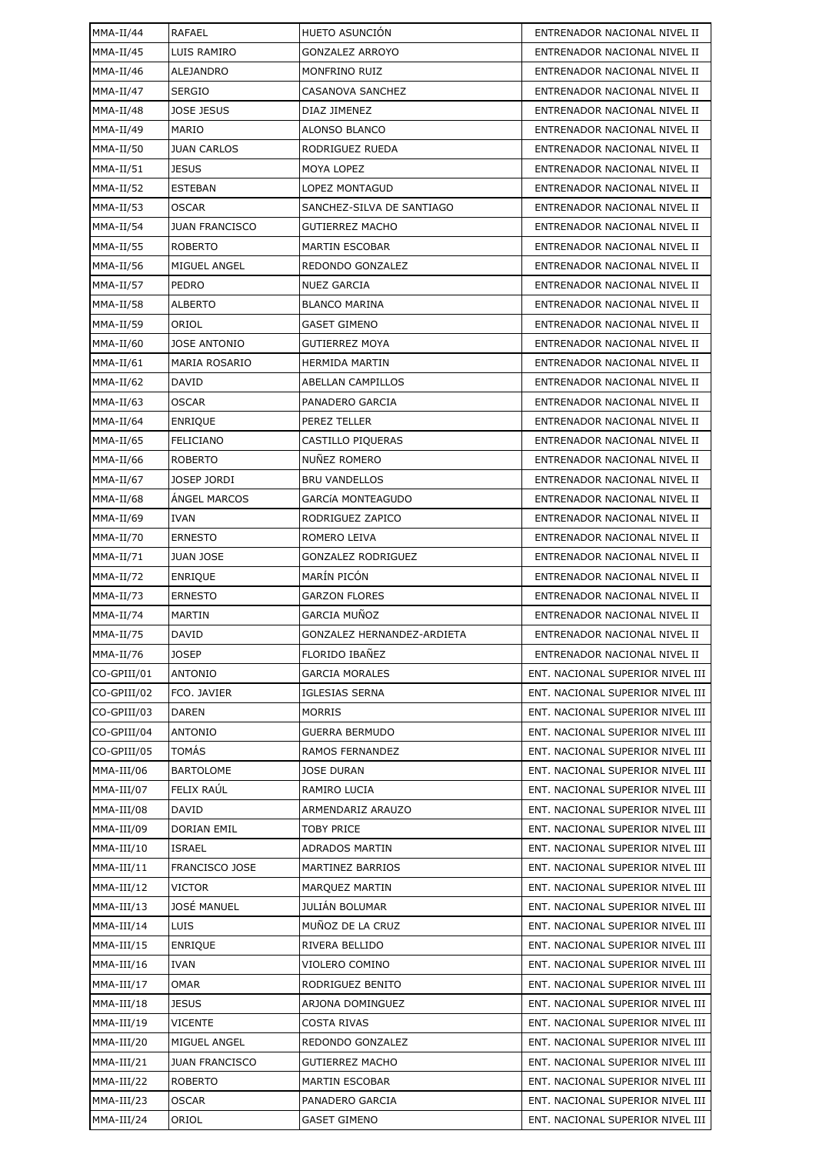| $MMA-II/44$  | <b>RAFAEL</b>         | HUETO ASUNCIÓN             | ENTRENADOR NACIONAL NIVEL II     |
|--------------|-----------------------|----------------------------|----------------------------------|
| MMA-II/45    | LUIS RAMIRO           | <b>GONZALEZ ARROYO</b>     | ENTRENADOR NACIONAL NIVEL II     |
| $MMA-II/46$  | ALEJANDRO             | MONFRINO RUIZ              | ENTRENADOR NACIONAL NIVEL II     |
| $MMA-II/47$  | <b>SERGIO</b>         | CASANOVA SANCHEZ           | ENTRENADOR NACIONAL NIVEL II     |
| $MMA-II/48$  | JOSE JESUS            | DIAZ JIMENEZ               | ENTRENADOR NACIONAL NIVEL II     |
| $MMA-II/49$  | MARIO                 | ALONSO BLANCO              | ENTRENADOR NACIONAL NIVEL II     |
| MMA-II/50    | <b>JUAN CARLOS</b>    | RODRIGUEZ RUEDA            | ENTRENADOR NACIONAL NIVEL II     |
| $MMA-II/51$  | <b>JESUS</b>          | MOYA LOPEZ                 | ENTRENADOR NACIONAL NIVEL II     |
| $MMA-II/52$  | <b>ESTEBAN</b>        | <b>LOPEZ MONTAGUD</b>      | ENTRENADOR NACIONAL NIVEL II     |
| $MMA-II/53$  | <b>OSCAR</b>          | SANCHEZ-SILVA DE SANTIAGO  | ENTRENADOR NACIONAL NIVEL II     |
| $MMA-II/54$  | <b>JUAN FRANCISCO</b> | <b>GUTIERREZ MACHO</b>     | ENTRENADOR NACIONAL NIVEL II     |
| MMA-II/55    | <b>ROBERTO</b>        | <b>MARTIN ESCOBAR</b>      | ENTRENADOR NACIONAL NIVEL II     |
| MMA-II/56    | MIGUEL ANGEL          | REDONDO GONZALEZ           | ENTRENADOR NACIONAL NIVEL II     |
| $MMA-II/57$  | PEDRO                 | <b>NUEZ GARCIA</b>         | ENTRENADOR NACIONAL NIVEL II     |
| MMA-II/58    | <b>ALBERTO</b>        | <b>BLANCO MARINA</b>       | ENTRENADOR NACIONAL NIVEL II     |
| MMA-II/59    | ORIOL                 | <b>GASET GIMENO</b>        | ENTRENADOR NACIONAL NIVEL II     |
| MMA-II/60    | <b>JOSE ANTONIO</b>   | GUTIERREZ MOYA             | ENTRENADOR NACIONAL NIVEL II     |
| $MMA-II/61$  | <b>MARIA ROSARIO</b>  | <b>HERMIDA MARTIN</b>      | ENTRENADOR NACIONAL NIVEL II     |
| $MMA-II/62$  | DAVID                 | <b>ABELLAN CAMPILLOS</b>   | ENTRENADOR NACIONAL NIVEL II     |
| $MMA-II/63$  | <b>OSCAR</b>          | PANADERO GARCIA            | ENTRENADOR NACIONAL NIVEL II     |
| $MMA-II/64$  | <b>ENRIQUE</b>        | PEREZ TELLER               | ENTRENADOR NACIONAL NIVEL II     |
| MMA-II/65    | <b>FELICIANO</b>      | CASTILLO PIQUERAS          | ENTRENADOR NACIONAL NIVEL II     |
| MMA-II/66    | <b>ROBERTO</b>        | NUÑEZ ROMERO               | ENTRENADOR NACIONAL NIVEL II     |
| $MMA-II/67$  | JOSEP JORDI           | <b>BRU VANDELLOS</b>       | ENTRENADOR NACIONAL NIVEL II     |
| MMA-II/68    | <b>ANGEL MARCOS</b>   | GARCÍA MONTEAGUDO          | ENTRENADOR NACIONAL NIVEL II     |
| MMA-II/69    | <b>IVAN</b>           | RODRIGUEZ ZAPICO           | ENTRENADOR NACIONAL NIVEL II     |
| MMA-II/70    | <b>ERNESTO</b>        | ROMERO LEIVA               | ENTRENADOR NACIONAL NIVEL II     |
| $MMA-II/71$  | <b>JUAN JOSE</b>      | GONZALEZ RODRIGUEZ         | ENTRENADOR NACIONAL NIVEL II     |
| $MMA-II/72$  | <b>ENRIQUE</b>        | MARÍN PICÓN                | ENTRENADOR NACIONAL NIVEL II     |
| $MMA-II/73$  | <b>ERNESTO</b>        | <b>GARZON FLORES</b>       | ENTRENADOR NACIONAL NIVEL II     |
| $MMA-II/74$  | MARTIN                | GARCIA MUÑOZ               | ENTRENADOR NACIONAL NIVEL II     |
| $MMA-II/75$  | <b>DAVID</b>          | GONZALEZ HERNANDEZ-ARDIETA | ENTRENADOR NACIONAL NIVEL II     |
| $MMA-II/76$  | <b>JOSEP</b>          | FLORIDO IBAÑEZ             | ENTRENADOR NACIONAL NIVEL II     |
| CO-GPIII/01  | <b>ANTONIO</b>        | <b>GARCIA MORALES</b>      | ENT. NACIONAL SUPERIOR NIVEL III |
| CO-GPIII/02  | FCO. JAVIER           | <b>IGLESIAS SERNA</b>      | ENT. NACIONAL SUPERIOR NIVEL III |
| CO-GPIII/03  | <b>DAREN</b>          | <b>MORRIS</b>              | ENT. NACIONAL SUPERIOR NIVEL III |
| CO-GPIII/04  | <b>ANTONIO</b>        | GUERRA BERMUDO             | ENT. NACIONAL SUPERIOR NIVEL III |
| CO-GPIII/05  | TOMÁS                 | RAMOS FERNANDEZ            | ENT. NACIONAL SUPERIOR NIVEL III |
| MMA-III/06   | <b>BARTOLOME</b>      | <b>JOSE DURAN</b>          | ENT. NACIONAL SUPERIOR NIVEL III |
| MMA-III/07   | FELIX RAÚL            | RAMIRO LUCIA               | ENT. NACIONAL SUPERIOR NIVEL III |
| MMA-III/08   | DAVID                 | ARMENDARIZ ARAUZO          | ENT. NACIONAL SUPERIOR NIVEL III |
| MMA-III/09   | <b>DORIAN EMIL</b>    | TOBY PRICE                 | ENT. NACIONAL SUPERIOR NIVEL III |
| MMA-III/10   | <b>ISRAEL</b>         | ADRADOS MARTIN             | ENT. NACIONAL SUPERIOR NIVEL III |
| MMA-III/11   | FRANCISCO JOSE        | MARTINEZ BARRIOS           | ENT. NACIONAL SUPERIOR NIVEL III |
| $MMA-III/12$ | VICTOR                | MARQUEZ MARTIN             | ENT. NACIONAL SUPERIOR NIVEL III |
| MMA-III/13   | <b>JOSÉ MANUEL</b>    | <b>JULIÁN BOLUMAR</b>      | ENT. NACIONAL SUPERIOR NIVEL III |
| $MMA-III/14$ | LUIS                  | MUÑOZ DE LA CRUZ           | ENT. NACIONAL SUPERIOR NIVEL III |
| MMA-III/15   | <b>ENRIQUE</b>        | RIVERA BELLIDO             | ENT. NACIONAL SUPERIOR NIVEL III |
| MMA-III/16   | <b>IVAN</b>           | VIOLERO COMINO             | ENT. NACIONAL SUPERIOR NIVEL III |
| $MMA-III/17$ | OMAR                  | RODRIGUEZ BENITO           | ENT. NACIONAL SUPERIOR NIVEL III |
| $MMA-III/18$ | <b>JESUS</b>          | ARJONA DOMINGUEZ           | ENT. NACIONAL SUPERIOR NIVEL III |
| MMA-III/19   | <b>VICENTE</b>        | COSTA RIVAS                | ENT. NACIONAL SUPERIOR NIVEL III |
| MMA-III/20   | MIGUEL ANGEL          | REDONDO GONZALEZ           | ENT. NACIONAL SUPERIOR NIVEL III |
| MMA-III/21   | <b>JUAN FRANCISCO</b> | <b>GUTIERREZ MACHO</b>     | ENT. NACIONAL SUPERIOR NIVEL III |
| $MMA-III/22$ | <b>ROBERTO</b>        | <b>MARTIN ESCOBAR</b>      | ENT. NACIONAL SUPERIOR NIVEL III |
| MMA-III/23   | OSCAR                 | PANADERO GARCIA            | ENT. NACIONAL SUPERIOR NIVEL III |
|              |                       |                            |                                  |